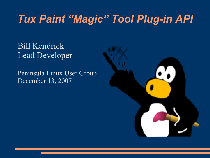### *Tux Paint "Magic" Tool Plug-in API*

#### Bill Kendrick Lead Developer

Peninsula Linux User Group December 13, 2007

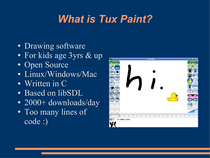# *What is Tux Paint?*

- Drawing software
- For kids age 3yrs & up
- Open Source
- Linux/Windows/Mac
- Written in C
- Based on libSDL
- 2000+ downloads/day
- Too many lines of code :)

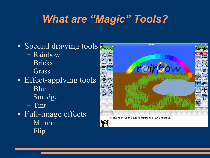# *What are "Magic" Tools?*

- Special drawing tools
	- Rainbow
	- Bricks
	- Grass
- Effect-applying tools
	- Blur
	- Smudge
	- Tint
- Full-image effects
	- Mirror
	- Flip



Click and move the mouse around to draw a negative.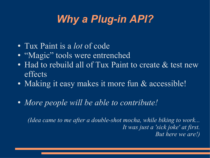# *Why a Plug-in API?*

- Tux Paint is a *lot* of code
- "Magic" tools were entrenched
- Had to rebuild all of Tux Paint to create & test new effects
- Making it easy makes it more fun & accessible!
- *More people will be able to contribute!*

*(Idea came to me after a double-shot mocha, while biking to work... It was just a 'sick joke' at first. But here we are!)*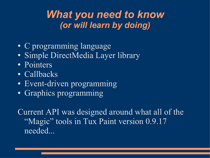### *What you need to know (or will learn by doing)*

- C programming language
- Simple DirectMedia Layer library
- Pointers
- Callbacks
- Event-driven programming
- Graphics programming

Current API was designed around what all of the "Magic" tools in Tux Paint version 0.9.17 needed...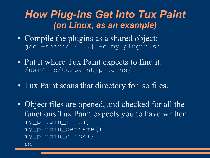### *How Plug-ins Get Into Tux Paint (on Linux, as an example)*

- Compile the plugins as a shared object: gcc -shared {...} -o my\_plugin.so
- Put it where Tux Paint expects to find it: /usr/lib/tuxpaint/plugins/
- Tux Paint scans that directory for .so files.
- Object files are opened, and checked for all the functions Tux Paint expects you to have written: my\_plugin\_init() my\_plugin\_getname() my\_plugin\_click() *etc.*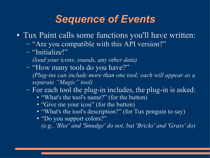### *Sequence of Events*

- Tux Paint calls some functions you'll have written:
	- "Are you compatible with this API version?"
	- "Initialize!"
		- *(load your icons, sounds, any other data)*
	- "How many tools do you have?" *(Plug-ins can include more than one tool; each will appear as a separate "Magic" tool)*
	- For each tool the plug-in includes, the plug-in is asked:
		- "What's the tool's name?" (for the button)
		- "Give me your icon" (for the button)
		- "What's the tool's description?" (for Tux penguin to say)
		- "Do you support colors?" *(e.g., 'Blur' and 'Smudge' do not, but 'Bricks' and 'Grass' do)*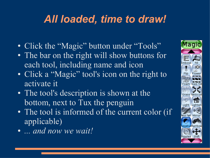## *All loaded, time to draw!*

- Click the "Magic" button under "Tools"
- The bar on the right will show buttons for each tool, including name and icon
- Click a "Magic" tool's icon on the right to activate it
- The tool's description is shown at the bottom, next to Tux the penguin
- The tool is informed of the current color (if applicable)
- *... and now we wait!*

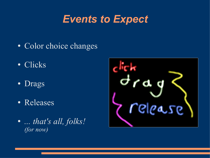## *Events to Expect*

- Color choice changes
- Clicks
- Drags
- Releases
- *... that's all, folks! (for now)*

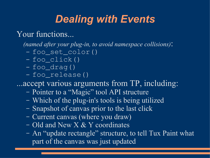## *Dealing with Events*

#### Your functions...

*(named after your plug-in, to avoid namespace collisions)*:

- foo\_set\_color()
- foo\_click()
- foo\_drag()
- foo\_release()

...accept various arguments from TP, including:

- Pointer to a "Magic" tool API structure
- Which of the plug-in's tools is being utilized
- Snapshot of canvas prior to the last click
- Current canvas (where you draw)
- Old and New X & Y coordinates
- An "update rectangle" structure, to tell Tux Paint what part of the canvas was just updated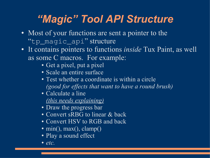## *"Magic" Tool API Structure*

- Most of your functions are sent a pointer to the "tp\_magic\_api" structure
- It contains pointers to functions *inside* Tux Paint, as well as some C macros. For example:
	- Get a pixel, put a pixel
	- Scale an entire surface
	- Test whether a coordinate is within a circle *(good for effects that want to have a round brush)*
	- Calculate a line *(this needs explaining)*
	- Draw the progress bar
	- Convert sRBG to linear & back
	- Convert HSV to RGB and back
	- min(), max(), clamp()
	- Play a sound effect
	- $\bullet$  *etc.*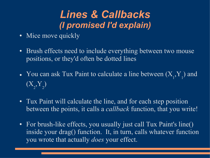### *Lines & Callbacks (I promised I'd explain)*

- Mice move quickly
- Brush effects need to include everything between two mouse positions, or they'd often be dotted lines
- You can ask Tux Paint to calculate a line between  $(X_1, Y_1)$  and  $(X_{2}, Y_{2})$
- Tux Paint will calculate the line, and for each step position between the points, it calls a *callback* function, that you write!
- For brush-like effects, you usually just call Tux Paint's line() inside your drag() function. It, in turn, calls whatever function you wrote that actually *does* your effect.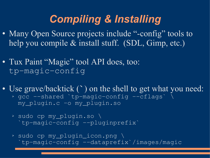## *Compiling & Installing*

- Many Open Source projects include "-config" tools to help you compile & install stuff. (SDL, Gimp, etc.)
- Tux Paint "Magic" tool API does, too: tp-magic-config
- Use grave/backtick (**`**) on the shell to get what you need: ➢ gcc --shared `tp-magic-config --cflags` \ my\_plugin.c -o my\_plugin.so
	- ➢ sudo cp my\_plugin.so \ `tp-magic-config --pluginprefix`
	- ➢ sudo cp my\_plugin\_icon.png \ `tp-magic-config --dataprefix`/images/magic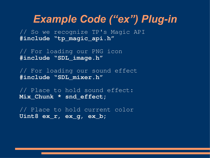// So we recognize TP's Magic API **#include "tp\_magic\_api.h"**

// For loading our PNG icon **#include "SDL\_image.h"**

// For loading our sound effect **#include "SDL\_mixer.h"**

// Place to hold sound effect: **Mix\_Chunk \* snd\_effect;**

// Place to hold current color **Uint8 ex\_r, ex\_g, ex\_b;**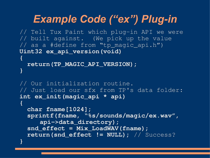```
// Tell Tux Paint which plug-in API we were
// built against. (We pick up the value
// as a #define from "tp_magic_api.h")
Uint32 ex_api_version(void)
{
```

```
 return(TP_MAGIC_API_VERSION);
}
```

```
// Our initialization routine.
// Just load our sfx from TP's data folder:
int ex_init(magic_api * api)
{
   char fname[1024];
   sprintf(fname, "%s/sounds/magic/ex.wav",
     api->data_directory);
```

```
 snd_effect = Mix_LoadWAV(fname);
```
**}**

```
 return(snd_effect != NULL); // Success?
```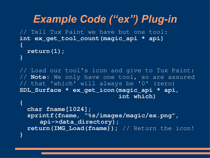```
Example Code ("ex") Plug-in
// Tell Tux Paint we have but one tool:
int ex_get_tool_count(magic_api * api)
{
  return(1);
}
```
// Load our tool's icon and give to Tux Paint: // **Note**: We only have one tool, so are assured // that 'which' will always be '0' (zero) **SDL\_Surface \* ex\_get\_icon(magic\_api \* api, int which)**

**{**

```
 char fname[1024];
  sprintf(fname, "%s/images/magic/ex.png",
     api->data_directory);
  return(IMG_Load(fname)); // Return the icon!
}
```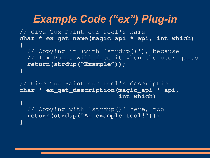// Give Tux Paint our tool's name **char \* ex\_get\_name(magic\_api \* api, int which) {** // Copying it (with 'strdup()'), because // Tux Paint will free it when the user quits  **return(strdup("Example")); }**

// Give Tux Paint our tool's description **char \* ex\_get\_description(magic\_api \* api, int which)**

 // Copying with 'strdup()' here, too  **return(strdup("An example tool!")); }**

**{**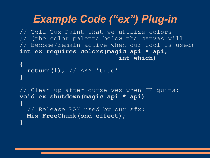// Tell Tux Paint that we utilize colors // (the color palette below the canvas will // become/remain active when our tool is used) **int ex\_requires\_colors(magic\_api \* api, int which)**

```
{
   return(1); // AKA 'true'
}
```
// Clean up after ourselves when TP quits: **void ex\_shutdown(magic\_api \* api) {** // Release RAM used by our sfx:  **Mix\_FreeChunk(snd\_effect); }**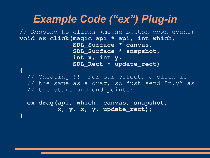// Respond to clicks (mouse button down event) **void ex\_click(magic\_api \* api, int which, SDL\_Surface \* canvas, SDL\_Surface \* snapshot, int x, int y, SDL\_Rect \* update\_rect) {**

 // Cheating!!! For our effect, a click is // the same as a drag, so just send "x, y" as // the start and end points:

 **ex\_drag(api, which, canvas, snapshot, x, y, x, y, update\_rect);**

**}**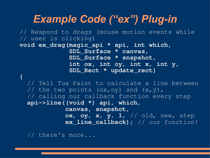// Respond to drags (mouse motion events while // user is clicking) **void ex\_drag(magic\_api \* api, int which, SDL\_Surface \* canvas, SDL\_Surface \* snapshot, int ox, int oy, int x, int y, SDL\_Rect \* update\_rect) {** // Tell Tux Paint to calculate a line between // the two points  $(ox,oy)$  and  $(x,y)$ , // calling our callback function every step  **api->line((void \*) api, which, canvas, snapshot, ox, oy, x, y, 1,** // old, new, step **ex\_line\_callback);** // our function!

// there's more...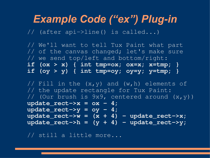// (after api->line() is called...)

 // We'll want to tell Tux Paint what part // of the canvas changed; let's make sure // we send top/left and bottom/right:  **if (ox > x) { int tmp=ox; ox=x; x=tmp; } if (oy > y) { int tmp=oy; oy=y; y=tmp; }**

// Fill in the  $(x, y)$  and  $(w, h)$  elements of // the update rectangle for Tux Paint: // (Our brush is 9x9, centered around (x,y))  $update\_rect->x = ox - 4;$  $update\_rect -> y = oy - 4;$  $update\_rect->w = (x + 4) - update\_rect->x;$  $update\_rect->h = (y + 4) - update\_rect->y;$ 

// still a little more...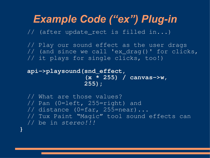// (after update\_rect is filled in...)

 // Play our sound effect as the user drags // (and since we call 'ex\_drag()' for clicks, // it plays for single clicks, too!)

```
 api->playsound(snd_effect,
                 (x * 255) / canvas->w,
                255);
```
**}**

```
 // What are those values?
 // Pan (0=left, 255=right) and
 // distance (0=far, 255=near)...
// Tux Paint "Magic" tool sound effects can
 // be in stereo!!!
```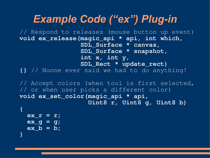// Respond to releases (mouse button up event) **void ex\_release(magic\_api \* api, int which, SDL\_Surface \* canvas, SDL\_Surface \* snapshot, int x, int y, SDL\_Rect \* update\_rect) {}** // Noone ever said we had to *do* anything!

// Accept colors (when tool is first selected, // or when user picks a different color) **void ex\_set\_color(magic\_api \* api, Uint8 r, Uint8 g, Uint8 b)**

```
{
   ex_r = r;
   ex_g = g;
   ex_b = b;
}
```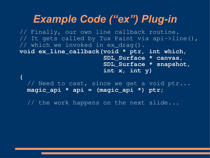// Finally, our own line callback routine. // It gets called by Tux Paint via api->line(), // which we invoked in ex drag(). **void ex\_line\_callback(void \* ptr, int which, SDL\_Surface \* canvas, SDL\_Surface \* snapshot, int x, int y)**

// Need to cast, since we get a void ptr...  **magic\_api \* api = (magic\_api \*) ptr;**

// the work happens on the next slide...

**{**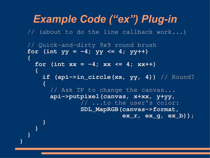*Example Code ("ex") Plug-in* // (about to do the line callback work...) // Quick-and-dirty 9x9 round brush for (int  $yy = -4$ ;  $yy \leq 4$ ;  $yy+1$ )  **{** for (int  $xx = -4$ ;  $xx \le 4$ ;  $xx++$ )  **{ if (api->in\_circle(xx, yy, 4))** // Round?  **{** // Ask TP to change the canvas...  **api->putpixel(canvas, x+xx, y+yy,** // ...to the user's color:  **SDL\_MapRGB(canvas->format, ex\_r, ex\_g, ex\_b)); } } }**

**}**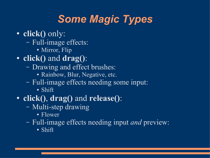# *Some Magic Types*

- **click()** only:
	- Full-image effects:
		- Mirror, Flip
- **click()** and **drag()**:
	- Drawing and effect brushes:
		- Rainbow, Blur, Negative, etc.
	- Full-image effects needing some input:
		- Shift
- **click()**, **drag()** and **release()**:
	- Multi-step drawing
		- Flower
	- Full-image effects needing input *and* preview:
		- Shift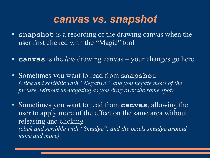#### *canvas vs. snapshot*

- **snapshot** is a recording of the drawing canvas when the user first clicked with the "Magic" tool
- **canvas** is the *live* drawing canvas your changes go here
- Sometimes you want to read from **snapshot** *(click and scribble with "Negative", and you negate more of the picture, without un-negating as you drag over the same spot)*
- Sometimes you want to read from **canvas**, allowing the user to apply more of the effect on the same area without releasing and clicking *(click and scribble with "Smudge", and the pixels smudge around more and more)*